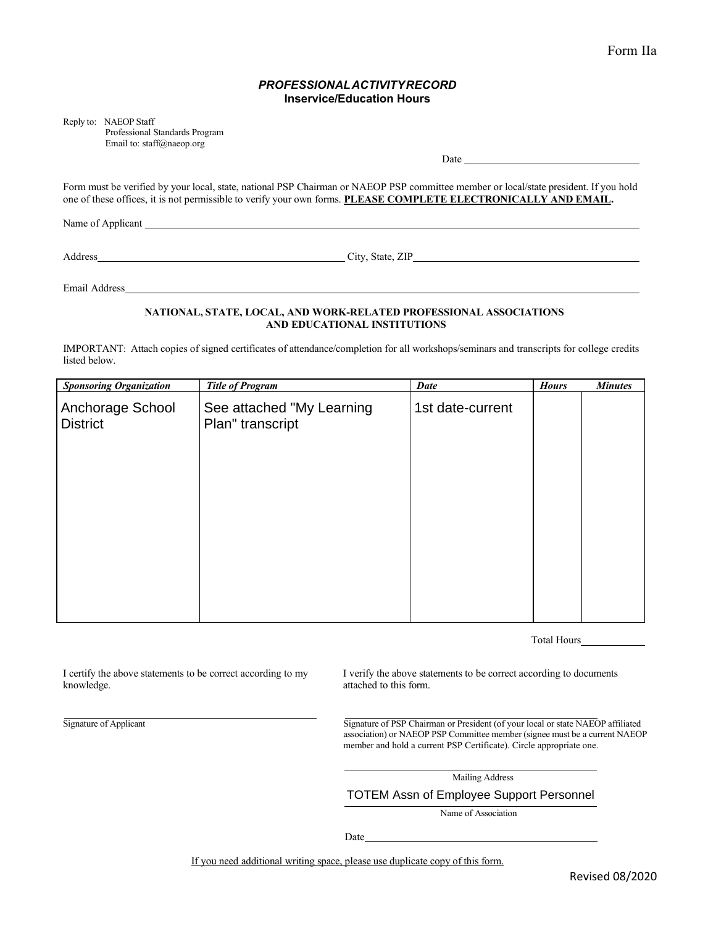## *PROFESSIONALACTIVITYRECORD* **Inservice/Education Hours**

Reply to: NAEOP Staff

Professional Standards Program Email to[: staff@naeop.org](mailto:staff@naeop.org)

 $Date$ <sub>\_\_\_\_</sub>

Form must be verified by your local, state, national PSP Chairman or NAEOP PSP committee member or local/state president. If you hold one of these offices, it is not permissible to verify your own forms. **PLEASE COMPLETE ELECTRONICALLY AND EMAIL.**

Name of Applicant League and Applicant League and Applicant League and Applicant League and Applicant League and Applicant League and Applicant League and Applicant League and Applicant League and Applicant League and Appl

Address City, State, ZIP

Email Address

#### **NATIONAL, STATE, LOCAL, AND WORK-RELATED PROFESSIONAL ASSOCIATIONS AND EDUCATIONAL INSTITUTIONS**

IMPORTANT: Attach copies of signed certificates of attendance/completion for all workshops/seminars and transcripts for college credits listed below.

| <b>Sponsoring Organization</b>      | <b>Title of Program</b>                       | <b>Date</b>      | <b>Hours</b> | <b>Minutes</b> |
|-------------------------------------|-----------------------------------------------|------------------|--------------|----------------|
| Anchorage School<br><b>District</b> | See attached "My Learning<br>Plan" transcript | 1st date-current |              |                |
|                                     |                                               |                  |              |                |
|                                     |                                               |                  |              |                |
|                                     |                                               |                  |              |                |
|                                     |                                               |                  |              |                |

Total Hours

I certify the above statements to be correct according to my knowledge.

I verify the above statements to be correct according to documents attached to this form.

Signature of Applicant Signature of PSP Chairman or President (of your local or state NAEOP affiliated association) or NAEOP PSP Committee member (signee must be a current NAEOP member and hold a current PSP Certificate). Circle appropriate one.

Mailing Address

TOTEM Assn of Employee Support Personnel

Name of Association

Date

If you need additional writing space, please use duplicate copy of this form.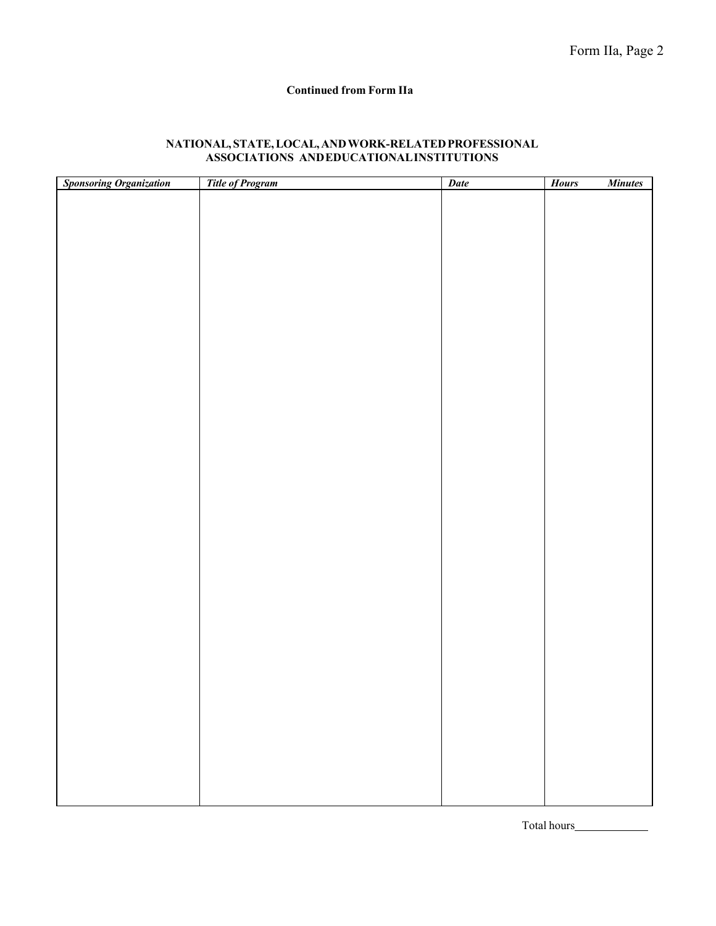## **Continued from Form IIa**

| <b>Sponsoring Organization</b> | <b>Title of Program</b> | <b>Date</b> | <b>Hours</b><br><b>Minutes</b> |
|--------------------------------|-------------------------|-------------|--------------------------------|
|                                |                         |             |                                |
|                                |                         |             |                                |
|                                |                         |             |                                |
|                                |                         |             |                                |
|                                |                         |             |                                |
|                                |                         |             |                                |
|                                |                         |             |                                |
|                                |                         |             |                                |
|                                |                         |             |                                |
|                                |                         |             |                                |
|                                |                         |             |                                |
|                                |                         |             |                                |
|                                |                         |             |                                |
|                                |                         |             |                                |
|                                |                         |             |                                |
|                                |                         |             |                                |
|                                |                         |             |                                |
|                                |                         |             |                                |
|                                |                         |             |                                |
|                                |                         |             |                                |
|                                |                         |             |                                |
|                                |                         |             |                                |
|                                |                         |             |                                |
|                                |                         |             |                                |
|                                |                         |             |                                |
|                                |                         |             |                                |
|                                |                         |             |                                |
|                                |                         |             |                                |
|                                |                         |             |                                |
|                                |                         |             |                                |
|                                |                         |             |                                |
|                                |                         |             |                                |
|                                |                         |             |                                |

# **NATIONAL, STATE,LOCAL,ANDWORK-RELATEDPROFESSIONAL ASSOCIATIONS ANDEDUCATIONALINSTITUTIONS**

Total hours